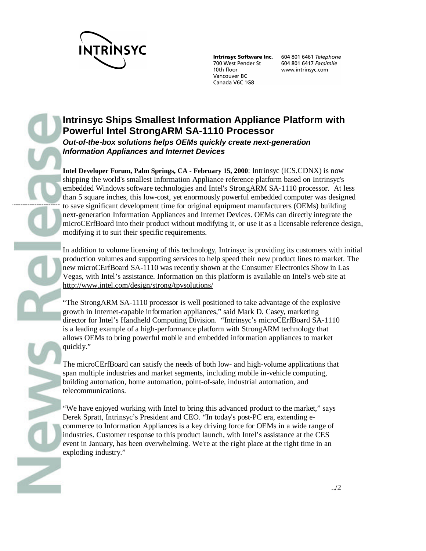

---------------------

**Intrinsyc Software Inc.** 700 West Pender St 10th floor Vancouver BC Canada V6C 1G8

604 801 6461 Telephone 604 801 6417 Facsimile www.intrinsyc.com

# **Intrinsyc Ships Smallest Information Appliance Platform with Powerful Intel StrongARM SA-1110 Processor** *Out-of-the-box solutions helps OEMs quickly create next-generation Information Appliances and Internet Devices*

**Intel Developer Forum, Palm Springs, CA - February 15, 2000**: Intrinsyc (ICS.CDNX) is now shipping the world's smallest Information Appliance reference platform based on Intrinsyc's embedded Windows software technologies and Intel's StrongARM SA-1110 processor. At less than 5 square inches, this low-cost, yet enormously powerful embedded computer was designed to save significant development time for original equipment manufacturers (OEMs) building next-generation Information Appliances and Internet Devices. OEMs can directly integrate the microCErfBoard into their product without modifying it, or use it as a licensable reference design, modifying it to suit their specific requirements.

In addition to volume licensing of this technology, Intrinsyc is providing its customers with initial production volumes and supporting services to help speed their new product lines to market. The new microCErfBoard SA-1110 was recently shown at the Consumer Electronics Show in Las Vegas, with Intel's assistance. Information on this platform is available on Intel's web site at http://www.intel.com/design/strong/tpvsolutions/

"The StrongARM SA-1110 processor is well positioned to take advantage of the explosive growth in Internet-capable information appliances," said Mark D. Casey, marketing director for Intel's Handheld Computing Division. "Intrinsyc's microCErfBoard SA-1110 is a leading example of a high-performance platform with StrongARM technology that allows OEMs to bring powerful mobile and embedded information appliances to market quickly."

The microCErfBoard can satisfy the needs of both low- and high-volume applications that span multiple industries and market segments, including mobile in-vehicle computing, building automation, home automation, point-of-sale, industrial automation, and telecommunications.

"We have enjoyed working with Intel to bring this advanced product to the market," says Derek Spratt, Intrinsyc's President and CEO. "In today's post-PC era, extending ecommerce to Information Appliances is a key driving force for OEMs in a wide range of industries. Customer response to this product launch, with Intel's assistance at the CES event in January, has been overwhelming. We're at the right place at the right time in an exploding industry."